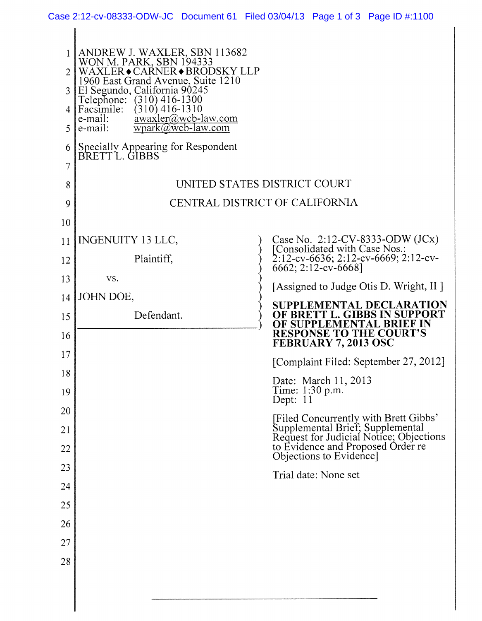| Case 2:12-cv-08333-ODW-JC Document 61 Filed 03/04/13 Page 1 of 3 Page ID #:1100 |  |  |  |  |
|---------------------------------------------------------------------------------|--|--|--|--|
|---------------------------------------------------------------------------------|--|--|--|--|

| $\mathcal{D}_{\mathcal{L}}$<br>3<br>4<br>5<br>6<br>7<br>8<br>9<br>10 | ANDREW J. WAXLER, SBN 113682<br>WON M. PARK, SBN 194333<br>WAXLER◆CARNER◆BRODSKY LLP<br>1960 East Grand Avenue, Suite 1210<br>El Segundo, California 90245<br>Telephone: (310) 416-1300<br>$(310)$ 416-1310<br>Facsimile:<br>awaxler@wcb-law.com<br>e-mail:<br>$wpark@wcb-law.com$<br>e-mail:<br>Specially Appearing for Respondent<br>BRETTL. GIBBS<br>UNITED STATES DISTRICT COURT<br>CENTRAL DISTRICT OF CALIFORNIA |                                                                                                                                                                              |
|----------------------------------------------------------------------|------------------------------------------------------------------------------------------------------------------------------------------------------------------------------------------------------------------------------------------------------------------------------------------------------------------------------------------------------------------------------------------------------------------------|------------------------------------------------------------------------------------------------------------------------------------------------------------------------------|
| 11<br>12<br>13                                                       | INGENUITY 13 LLC,<br>Plaintiff,<br>VS.                                                                                                                                                                                                                                                                                                                                                                                 | Case No. 2:12-CV-8333-ODW $(JCx)$<br>[Consolidated with Case Nos.:<br>2:12-cv-6636; 2:12-cv-6669; 2:12-cv-<br>6662; 2:12-cv-6668]<br>[Assigned to Judge Otis D. Wright, II ] |
| 14<br>15<br>16                                                       | JOHN DOE,<br>Defendant.                                                                                                                                                                                                                                                                                                                                                                                                | <b>SUPPLEMENTAL DECLARATION</b><br>OF BRETT L. GIBBS IN SUPPORT<br>OF SUPPLEMENTAL BRIEF IN<br><b>RESPONSE TO THE COURT'S</b><br>FEBRUARY 7, 2013 OSC                        |
| 17<br>18                                                             |                                                                                                                                                                                                                                                                                                                                                                                                                        | [Complaint Filed: September 27, 2012]                                                                                                                                        |
| 19                                                                   |                                                                                                                                                                                                                                                                                                                                                                                                                        | Date: March 11, 2013<br>Time: 1:30 p.m.<br>Dept: 11                                                                                                                          |
| <b>20</b><br>21                                                      |                                                                                                                                                                                                                                                                                                                                                                                                                        | [Filed Concurrently with Brett Gibbs'<br>Supplemental Brief; Supplemental<br>Request for Judicial Notice; Objections<br>to Evidence and Proposed Order re                    |
| 22<br>23                                                             |                                                                                                                                                                                                                                                                                                                                                                                                                        | Objections to Evidence]                                                                                                                                                      |
| 24                                                                   |                                                                                                                                                                                                                                                                                                                                                                                                                        | Trial date: None set                                                                                                                                                         |
| 25                                                                   |                                                                                                                                                                                                                                                                                                                                                                                                                        |                                                                                                                                                                              |
| 26                                                                   |                                                                                                                                                                                                                                                                                                                                                                                                                        |                                                                                                                                                                              |
| 27                                                                   |                                                                                                                                                                                                                                                                                                                                                                                                                        |                                                                                                                                                                              |
| 28                                                                   |                                                                                                                                                                                                                                                                                                                                                                                                                        |                                                                                                                                                                              |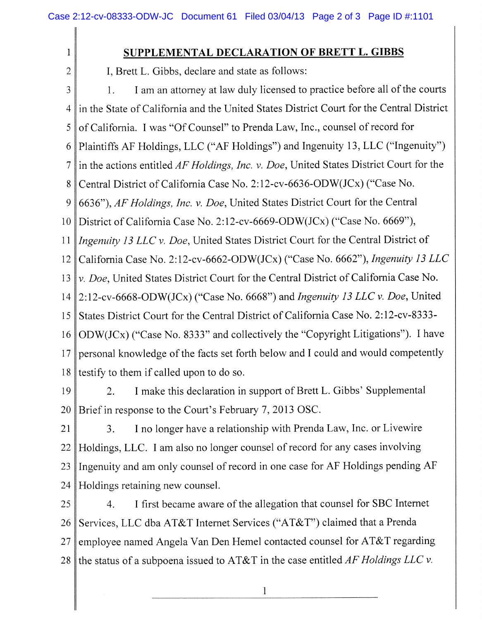1

2

## **SUPPLEMENTAL DECLARATION OF BRETT L. GIBBS**

I, Brett L. Gibbs, declare and state as follows:

3 4 5 6 7 8 9 10 11 12 13 14 15 16 17 18 1. I am an attorney at law duly licensed to practice before all of the courts in the State of California and the United States District Court for the Central District of California. I was "Of Counsel" to Prenda Law, Inc., counsel of record for Plaintiffs AF Holdings, LLC ("AF Holdings") and Ingenuity 13, LLC ("Ingenuity") in the actions entitled *AF Holdings, Inc.* v. *Doe,* United States District Court for the Central District of California Case No. 2:12-cv-6636-ODW(JCx) ("Case No. 6636"), *AF Holdings, Inc.* v. *Doe,* United States District Court for the Central District of California Case No. 2:12-cv-6669-ODW(JCx) ("Case No. 6669"), *Ingenuity 13 LLC v. Doe,* United States District Court for the Central District of California Case No. 2:12-cv-6662-ODW(JCx) ("Case No. 6662"), *Ingenuity 13 LLC v. Doe,* United States District Court for the Central District of California Case No. 2:12-cv-6668-ODW(JCx) ("Case No. 6668") and *Ingenuity 13 LLC v. Doe,* United States District Court for the Central District of California Case No. 2:12-cv-8333- ODW(JCx) ("Case No. 8333" and collectively the "Copyright Litigations"). I have personal knowledge of the facts set forth below and I could and would competently testify to them if called upon to do so.

19 20 2. I make this declaration in support of Brett L. Gibbs' Supplemental Brief in response to the Court's February 7, 2013 OSC.

21 22 23 24 3. I no longer have a relationship with Prenda Law, Inc. or Livewire Holdings, LLC. I am also no longer counsel of record for any cases involving Ingenuity and am only counsel of record in one case for AF Holdings pending AF Holdings retaining new counsel.

25 26 27 28 4. I first became aware of the allegation that counsel for SBC Internet Services, LLC dba AT&T Internet Services ("AT&T") claimed that a Prenda employee named Angela Van Den Hemel contacted counsel for AT&T regarding the status of a subpoena issued to AT&T in the case entitled *AF Holdings LLC v.*